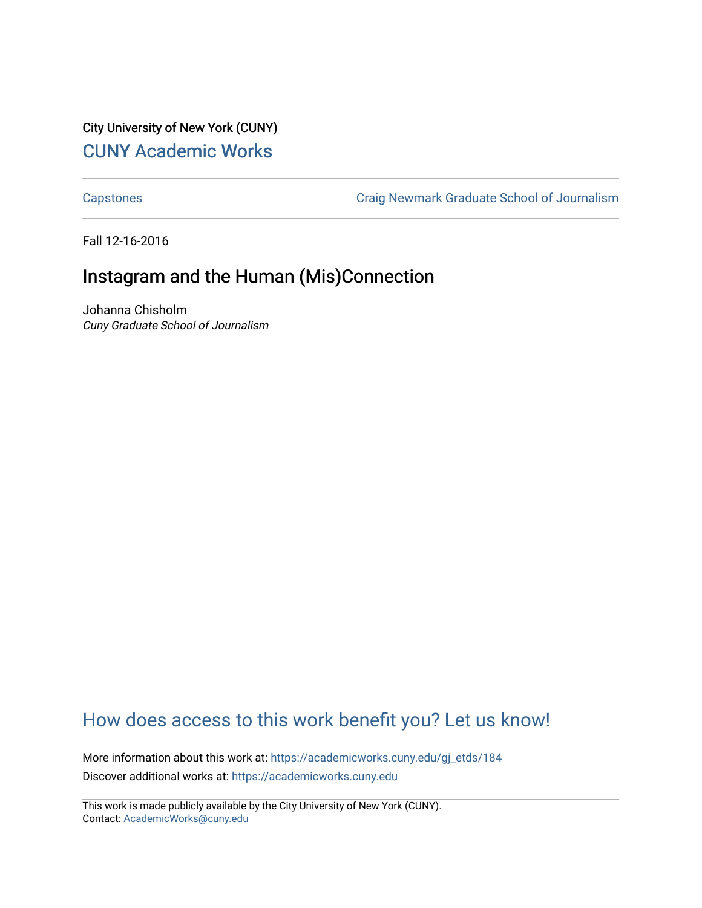### City University of New York (CUNY) [CUNY Academic Works](https://academicworks.cuny.edu/)

[Capstones](https://academicworks.cuny.edu/gj_etds) [Craig Newmark Graduate School of Journalism](https://academicworks.cuny.edu/gj) 

Fall 12-16-2016

# Instagram and the Human (Mis)Connection

Johanna Chisholm Cuny Graduate School of Journalism

## [How does access to this work benefit you? Let us know!](http://ols.cuny.edu/academicworks/?ref=https://academicworks.cuny.edu/gj_etds/184)

More information about this work at: [https://academicworks.cuny.edu/gj\\_etds/184](https://academicworks.cuny.edu/gj_etds/184)  Discover additional works at: [https://academicworks.cuny.edu](https://academicworks.cuny.edu/?)

This work is made publicly available by the City University of New York (CUNY). Contact: [AcademicWorks@cuny.edu](mailto:AcademicWorks@cuny.edu)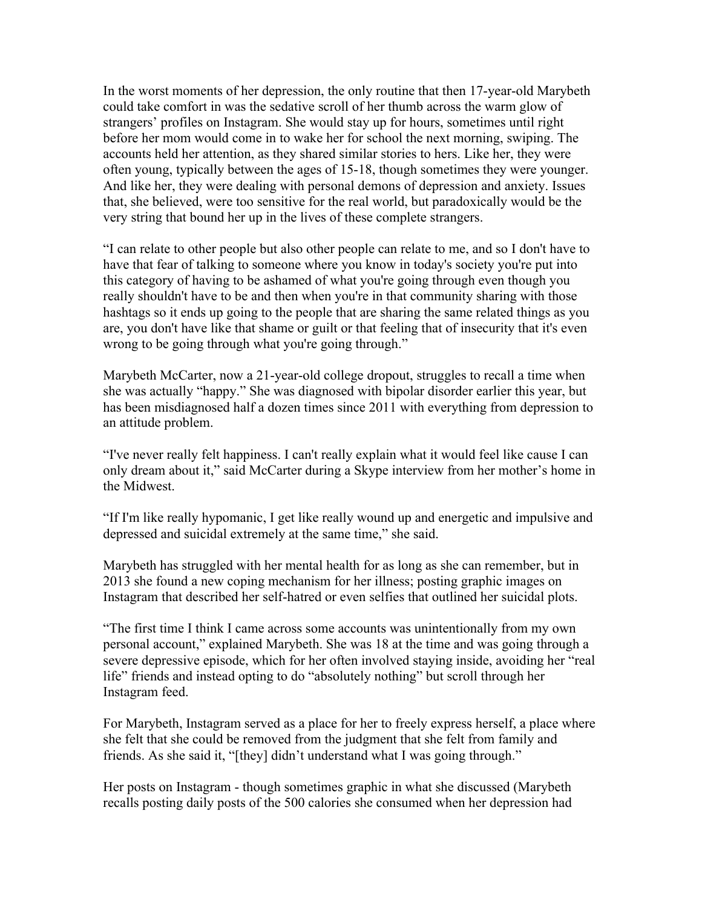In the worst moments of her depression, the only routine that then 17-year-old Marybeth could take comfort in was the sedative scroll of her thumb across the warm glow of strangers' profiles on Instagram. She would stay up for hours, sometimes until right before her mom would come in to wake her for school the next morning, swiping. The accounts held her attention, as they shared similar stories to hers. Like her, they were often young, typically between the ages of 15-18, though sometimes they were younger. And like her, they were dealing with personal demons of depression and anxiety. Issues that, she believed, were too sensitive for the real world, but paradoxically would be the very string that bound her up in the lives of these complete strangers.

"I can relate to other people but also other people can relate to me, and so I don't have to have that fear of talking to someone where you know in today's society you're put into this category of having to be ashamed of what you're going through even though you really shouldn't have to be and then when you're in that community sharing with those hashtags so it ends up going to the people that are sharing the same related things as you are, you don't have like that shame or guilt or that feeling that of insecurity that it's even wrong to be going through what you're going through."

Marybeth McCarter, now a 21-year-old college dropout, struggles to recall a time when she was actually "happy." She was diagnosed with bipolar disorder earlier this year, but has been misdiagnosed half a dozen times since 2011 with everything from depression to an attitude problem.

"I've never really felt happiness. I can't really explain what it would feel like cause I can only dream about it," said McCarter during a Skype interview from her mother's home in the Midwest.

"If I'm like really hypomanic, I get like really wound up and energetic and impulsive and depressed and suicidal extremely at the same time," she said.

Marybeth has struggled with her mental health for as long as she can remember, but in 2013 she found a new coping mechanism for her illness; posting graphic images on Instagram that described her self-hatred or even selfies that outlined her suicidal plots.

"The first time I think I came across some accounts was unintentionally from my own personal account," explained Marybeth. She was 18 at the time and was going through a severe depressive episode, which for her often involved staying inside, avoiding her "real life" friends and instead opting to do "absolutely nothing" but scroll through her Instagram feed.

For Marybeth, Instagram served as a place for her to freely express herself, a place where she felt that she could be removed from the judgment that she felt from family and friends. As she said it, "[they] didn't understand what I was going through."

Her posts on Instagram - though sometimes graphic in what she discussed (Marybeth recalls posting daily posts of the 500 calories she consumed when her depression had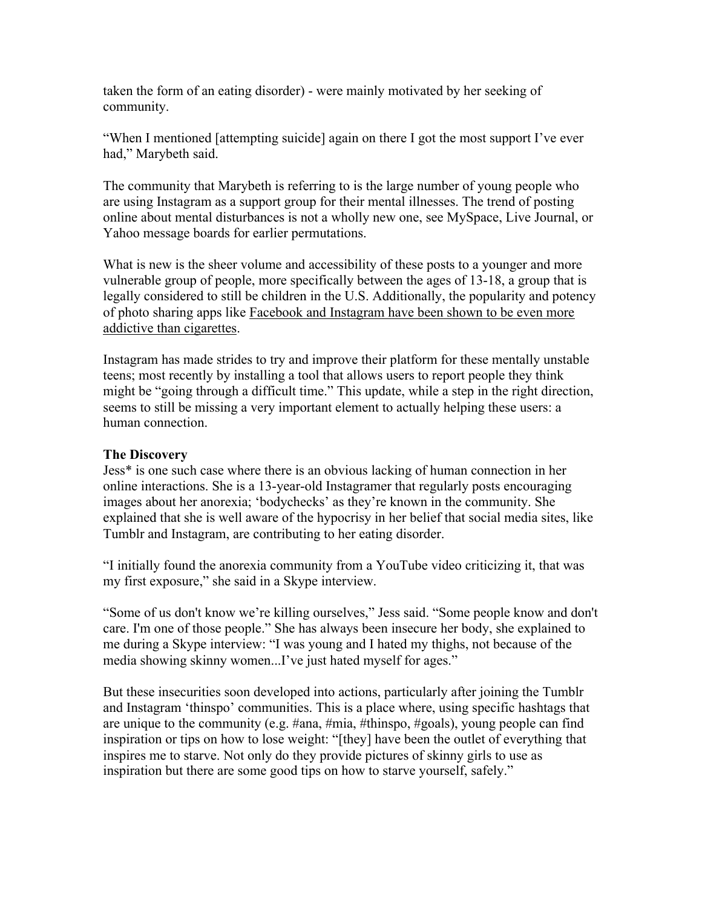taken the form of an eating disorder) - were mainly motivated by her seeking of community.

"When I mentioned [attempting suicide] again on there I got the most support I've ever had," Marybeth said.

The community that Marybeth is referring to is the large number of young people who are using Instagram as a support group for their mental illnesses. The trend of posting online about mental disturbances is not a wholly new one, see MySpace, Live Journal, or Yahoo message boards for earlier permutations.

What is new is the sheer volume and accessibility of these posts to a younger and more vulnerable group of people, more specifically between the ages of 13-18, a group that is legally considered to still be children in the U.S. Additionally, the popularity and potency of photo sharing apps like Facebook and Instagram have been shown to be even more addictive than cigarettes.

Instagram has made strides to try and improve their platform for these mentally unstable teens; most recently by installing a tool that allows users to report people they think might be "going through a difficult time." This update, while a step in the right direction, seems to still be missing a very important element to actually helping these users: a human connection.

### **The Discovery**

Jess\* is one such case where there is an obvious lacking of human connection in her online interactions. She is a 13-year-old Instagramer that regularly posts encouraging images about her anorexia; 'bodychecks' as they're known in the community. She explained that she is well aware of the hypocrisy in her belief that social media sites, like Tumblr and Instagram, are contributing to her eating disorder.

"I initially found the anorexia community from a YouTube video criticizing it, that was my first exposure," she said in a Skype interview.

"Some of us don't know we're killing ourselves," Jess said. "Some people know and don't care. I'm one of those people." She has always been insecure her body, she explained to me during a Skype interview: "I was young and I hated my thighs, not because of the media showing skinny women...I've just hated myself for ages."

But these insecurities soon developed into actions, particularly after joining the Tumblr and Instagram 'thinspo' communities. This is a place where, using specific hashtags that are unique to the community (e.g. #ana, #mia, #thinspo, #goals), young people can find inspiration or tips on how to lose weight: "[they] have been the outlet of everything that inspires me to starve. Not only do they provide pictures of skinny girls to use as inspiration but there are some good tips on how to starve yourself, safely."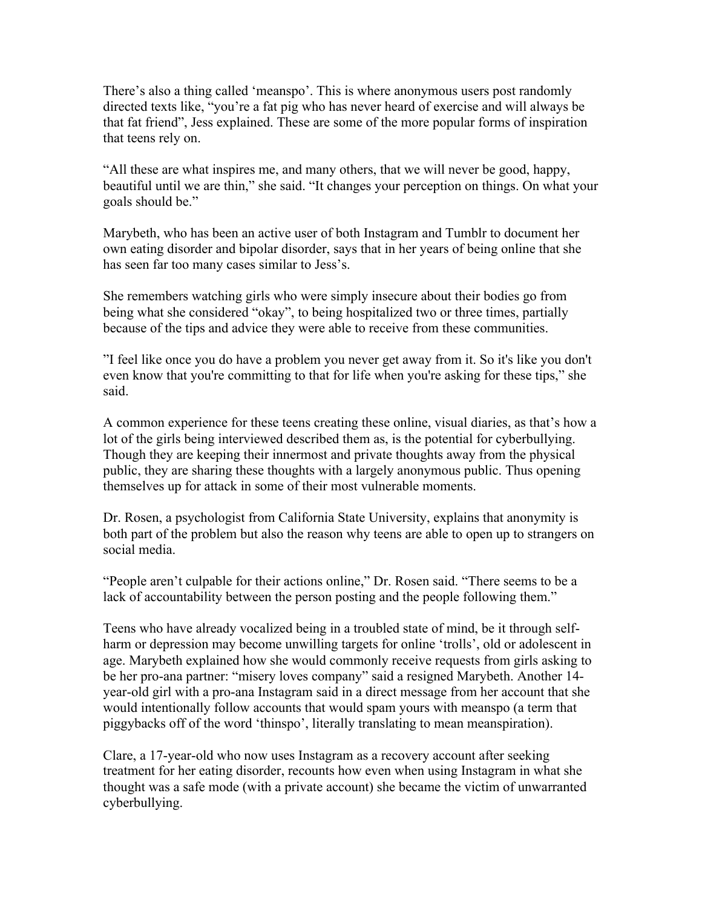There's also a thing called 'meanspo'. This is where anonymous users post randomly directed texts like, "you're a fat pig who has never heard of exercise and will always be that fat friend", Jess explained. These are some of the more popular forms of inspiration that teens rely on.

"All these are what inspires me, and many others, that we will never be good, happy, beautiful until we are thin," she said. "It changes your perception on things. On what your goals should be."

Marybeth, who has been an active user of both Instagram and Tumblr to document her own eating disorder and bipolar disorder, says that in her years of being online that she has seen far too many cases similar to Jess's.

She remembers watching girls who were simply insecure about their bodies go from being what she considered "okay", to being hospitalized two or three times, partially because of the tips and advice they were able to receive from these communities.

"I feel like once you do have a problem you never get away from it. So it's like you don't even know that you're committing to that for life when you're asking for these tips," she said.

A common experience for these teens creating these online, visual diaries, as that's how a lot of the girls being interviewed described them as, is the potential for cyberbullying. Though they are keeping their innermost and private thoughts away from the physical public, they are sharing these thoughts with a largely anonymous public. Thus opening themselves up for attack in some of their most vulnerable moments.

Dr. Rosen, a psychologist from California State University, explains that anonymity is both part of the problem but also the reason why teens are able to open up to strangers on social media.

"People aren't culpable for their actions online," Dr. Rosen said. "There seems to be a lack of accountability between the person posting and the people following them."

Teens who have already vocalized being in a troubled state of mind, be it through selfharm or depression may become unwilling targets for online 'trolls', old or adolescent in age. Marybeth explained how she would commonly receive requests from girls asking to be her pro-ana partner: "misery loves company" said a resigned Marybeth. Another 14 year-old girl with a pro-ana Instagram said in a direct message from her account that she would intentionally follow accounts that would spam yours with meanspo (a term that piggybacks off of the word 'thinspo', literally translating to mean meanspiration).

Clare, a 17-year-old who now uses Instagram as a recovery account after seeking treatment for her eating disorder, recounts how even when using Instagram in what she thought was a safe mode (with a private account) she became the victim of unwarranted cyberbullying.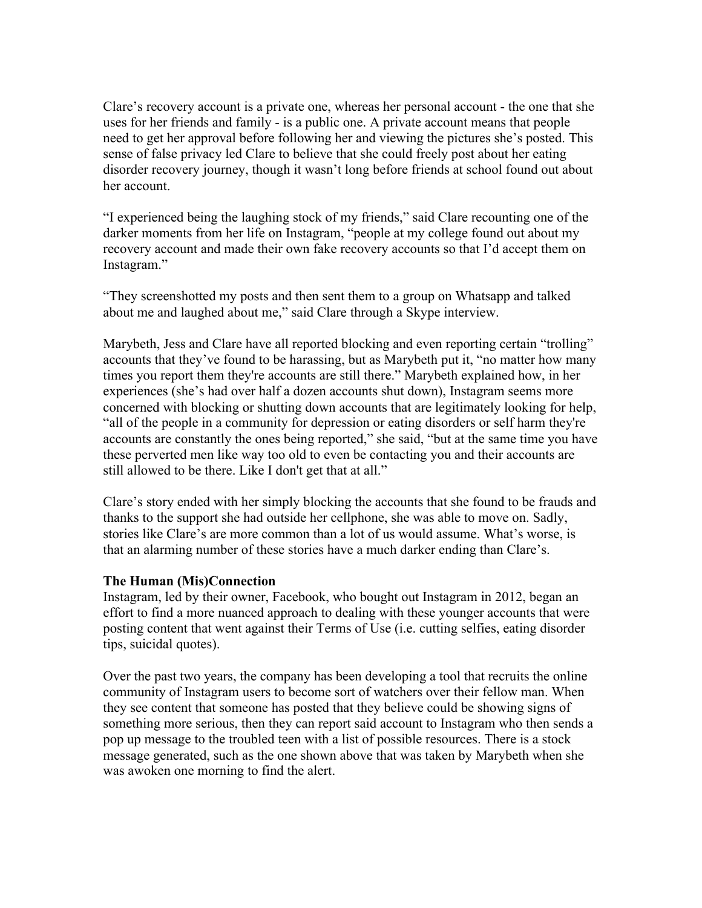Clare's recovery account is a private one, whereas her personal account - the one that she uses for her friends and family - is a public one. A private account means that people need to get her approval before following her and viewing the pictures she's posted. This sense of false privacy led Clare to believe that she could freely post about her eating disorder recovery journey, though it wasn't long before friends at school found out about her account.

"I experienced being the laughing stock of my friends," said Clare recounting one of the darker moments from her life on Instagram, "people at my college found out about my recovery account and made their own fake recovery accounts so that I'd accept them on Instagram."

"They screenshotted my posts and then sent them to a group on Whatsapp and talked about me and laughed about me," said Clare through a Skype interview.

Marybeth, Jess and Clare have all reported blocking and even reporting certain "trolling" accounts that they've found to be harassing, but as Marybeth put it, "no matter how many times you report them they're accounts are still there." Marybeth explained how, in her experiences (she's had over half a dozen accounts shut down), Instagram seems more concerned with blocking or shutting down accounts that are legitimately looking for help, "all of the people in a community for depression or eating disorders or self harm they're accounts are constantly the ones being reported," she said, "but at the same time you have these perverted men like way too old to even be contacting you and their accounts are still allowed to be there. Like I don't get that at all."

Clare's story ended with her simply blocking the accounts that she found to be frauds and thanks to the support she had outside her cellphone, she was able to move on. Sadly, stories like Clare's are more common than a lot of us would assume. What's worse, is that an alarming number of these stories have a much darker ending than Clare's.

### **The Human (Mis)Connection**

Instagram, led by their owner, Facebook, who bought out Instagram in 2012, began an effort to find a more nuanced approach to dealing with these younger accounts that were posting content that went against their Terms of Use (i.e. cutting selfies, eating disorder tips, suicidal quotes).

Over the past two years, the company has been developing a tool that recruits the online community of Instagram users to become sort of watchers over their fellow man. When they see content that someone has posted that they believe could be showing signs of something more serious, then they can report said account to Instagram who then sends a pop up message to the troubled teen with a list of possible resources. There is a stock message generated, such as the one shown above that was taken by Marybeth when she was awoken one morning to find the alert.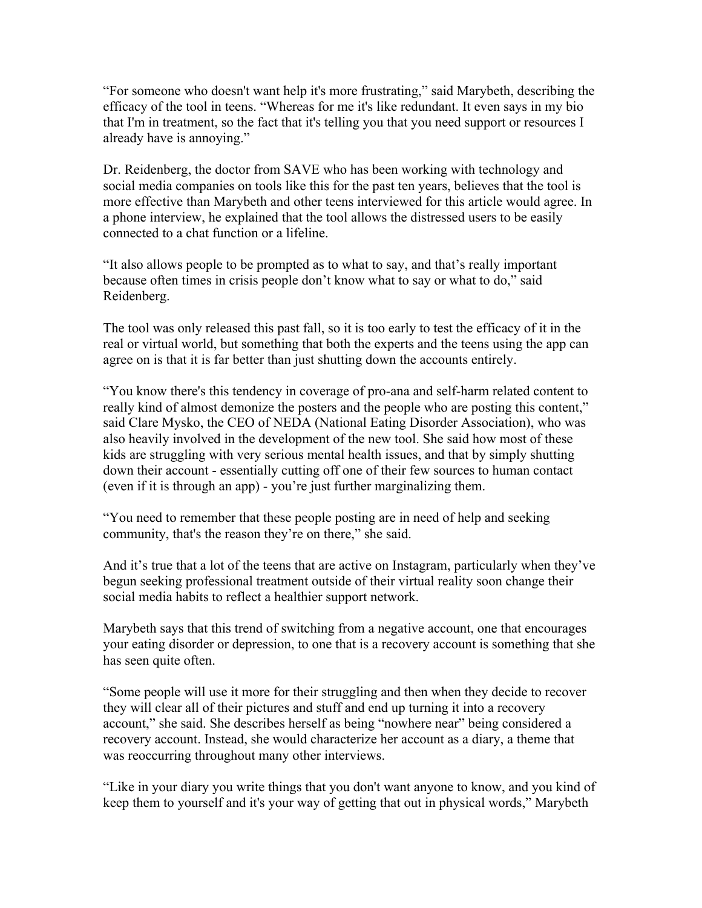"For someone who doesn't want help it's more frustrating," said Marybeth, describing the efficacy of the tool in teens. "Whereas for me it's like redundant. It even says in my bio that I'm in treatment, so the fact that it's telling you that you need support or resources I already have is annoying."

Dr. Reidenberg, the doctor from SAVE who has been working with technology and social media companies on tools like this for the past ten years, believes that the tool is more effective than Marybeth and other teens interviewed for this article would agree. In a phone interview, he explained that the tool allows the distressed users to be easily connected to a chat function or a lifeline.

"It also allows people to be prompted as to what to say, and that's really important because often times in crisis people don't know what to say or what to do," said Reidenberg.

The tool was only released this past fall, so it is too early to test the efficacy of it in the real or virtual world, but something that both the experts and the teens using the app can agree on is that it is far better than just shutting down the accounts entirely.

"You know there's this tendency in coverage of pro-ana and self-harm related content to really kind of almost demonize the posters and the people who are posting this content," said Clare Mysko, the CEO of NEDA (National Eating Disorder Association), who was also heavily involved in the development of the new tool. She said how most of these kids are struggling with very serious mental health issues, and that by simply shutting down their account - essentially cutting off one of their few sources to human contact (even if it is through an app) - you're just further marginalizing them.

"You need to remember that these people posting are in need of help and seeking community, that's the reason they're on there," she said.

And it's true that a lot of the teens that are active on Instagram, particularly when they've begun seeking professional treatment outside of their virtual reality soon change their social media habits to reflect a healthier support network.

Marybeth says that this trend of switching from a negative account, one that encourages your eating disorder or depression, to one that is a recovery account is something that she has seen quite often.

"Some people will use it more for their struggling and then when they decide to recover they will clear all of their pictures and stuff and end up turning it into a recovery account," she said. She describes herself as being "nowhere near" being considered a recovery account. Instead, she would characterize her account as a diary, a theme that was reoccurring throughout many other interviews.

"Like in your diary you write things that you don't want anyone to know, and you kind of keep them to yourself and it's your way of getting that out in physical words," Marybeth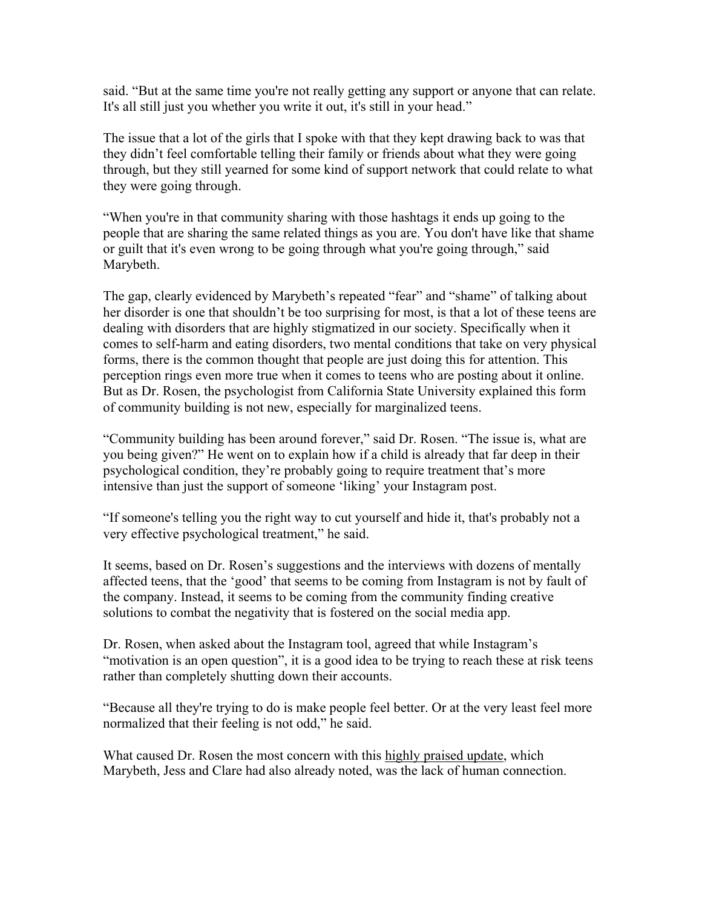said. "But at the same time you're not really getting any support or anyone that can relate. It's all still just you whether you write it out, it's still in your head."

The issue that a lot of the girls that I spoke with that they kept drawing back to was that they didn't feel comfortable telling their family or friends about what they were going through, but they still yearned for some kind of support network that could relate to what they were going through.

"When you're in that community sharing with those hashtags it ends up going to the people that are sharing the same related things as you are. You don't have like that shame or guilt that it's even wrong to be going through what you're going through," said Marybeth.

The gap, clearly evidenced by Marybeth's repeated "fear" and "shame" of talking about her disorder is one that shouldn't be too surprising for most, is that a lot of these teens are dealing with disorders that are highly stigmatized in our society. Specifically when it comes to self-harm and eating disorders, two mental conditions that take on very physical forms, there is the common thought that people are just doing this for attention. This perception rings even more true when it comes to teens who are posting about it online. But as Dr. Rosen, the psychologist from California State University explained this form of community building is not new, especially for marginalized teens.

"Community building has been around forever," said Dr. Rosen. "The issue is, what are you being given?" He went on to explain how if a child is already that far deep in their psychological condition, they're probably going to require treatment that's more intensive than just the support of someone 'liking' your Instagram post.

"If someone's telling you the right way to cut yourself and hide it, that's probably not a very effective psychological treatment," he said.

It seems, based on Dr. Rosen's suggestions and the interviews with dozens of mentally affected teens, that the 'good' that seems to be coming from Instagram is not by fault of the company. Instead, it seems to be coming from the community finding creative solutions to combat the negativity that is fostered on the social media app.

Dr. Rosen, when asked about the Instagram tool, agreed that while Instagram's "motivation is an open question", it is a good idea to be trying to reach these at risk teens rather than completely shutting down their accounts.

"Because all they're trying to do is make people feel better. Or at the very least feel more normalized that their feeling is not odd," he said.

What caused Dr. Rosen the most concern with this highly praised update, which Marybeth, Jess and Clare had also already noted, was the lack of human connection.